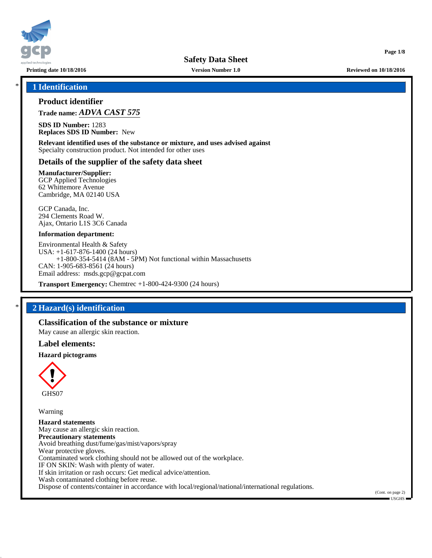

**Printing date 10/18/2016 Version Number 1.0 Reviewed on 10/18/2016**

**Page 1/8**

## \* **1 Identification**

## **Product identifier**

**Trade name:** *ADVA CAST 575*

**SDS ID Number:** 1283 **Replaces SDS ID Number:** New

**Relevant identified uses of the substance or mixture, and uses advised against** Specialty construction product. Not intended for other uses

## **Details of the supplier of the safety data sheet**

**Manufacturer/Supplier:** GCP Applied Technologies 62 Whittemore Avenue Cambridge, MA 02140 USA

GCP Canada, Inc. 294 Clements Road W. Ajax, Ontario L1S 3C6 Canada

#### **Information department:**

Environmental Health & Safety USA: +1-617-876-1400 (24 hours) +1-800-354-5414 (8AM - 5PM) Not functional within Massachusetts CAN: 1-905-683-8561 (24 hours) Email address: msds.gcp@gcpat.com

**Transport Emergency:** Chemtrec +1-800-424-9300 (24 hours)

## \* **2 Hazard(s) identification**

## **Classification of the substance or mixture**

May cause an allergic skin reaction.

#### **Label elements:**

### **Hazard pictograms**



Warning

**Hazard statements** May cause an allergic skin reaction. **Precautionary statements** Avoid breathing dust/fume/gas/mist/vapors/spray Wear protective gloves. Contaminated work clothing should not be allowed out of the workplace. IF ON SKIN: Wash with plenty of water. If skin irritation or rash occurs: Get medical advice/attention. Wash contaminated clothing before reuse. Dispose of contents/container in accordance with local/regional/national/international regulations.

(Cont. on page 2) USGHS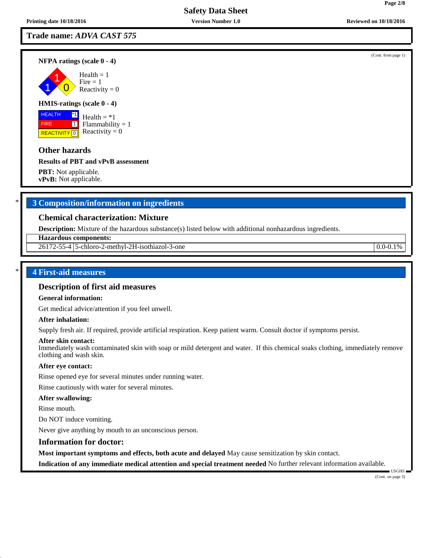## **Trade name:** *ADVA CAST 575*

**NFPA ratings (scale 0 - 4)**

1 1  $\overline{\mathbf{0}}$  $Health = 1$  $Fire = 1$ Reactivity  $= 0$ 

### **HMIS-ratings (scale 0 - 4)**

 HEALTH FIRE **REACTIVITY** 0 \*1  $\boxed{1}$ 

Health  $= *1$  $Flammability = 1$ Reactivity  $= 0$ 

## **Other hazards**

**Results of PBT and vPvB assessment**

**PBT:** Not applicable. **vPvB:** Not applicable.

## \* **3 Composition/information on ingredients**

## **Chemical characterization: Mixture**

**Description:** Mixture of the hazardous substance(s) listed below with additional nonhazardous ingredients.

**Hazardous components:**

26172-55-4 | 5-chloro-2-methyl-2H-isothiazol-3-one 0.0-0.1%

## \* **4 First-aid measures**

## **Description of first aid measures**

#### **General information:**

Get medical advice/attention if you feel unwell.

#### **After inhalation:**

Supply fresh air. If required, provide artificial respiration. Keep patient warm. Consult doctor if symptoms persist.

#### **After skin contact:**

Immediately wash contaminated skin with soap or mild detergent and water. If this chemical soaks clothing, immediately remove clothing and wash skin.

#### **After eye contact:**

Rinse opened eye for several minutes under running water.

Rinse cautiously with water for several minutes.

#### **After swallowing:**

Rinse mouth.

Do NOT induce vomiting.

Never give anything by mouth to an unconscious person.

#### **Information for doctor:**

**Most important symptoms and effects, both acute and delayed** May cause sensitization by skin contact.

**Indication of any immediate medical attention and special treatment needed** No further relevant information available.

(Cont. on page 3)

USGHS

(Cont. from page 1)

**Page 2/8**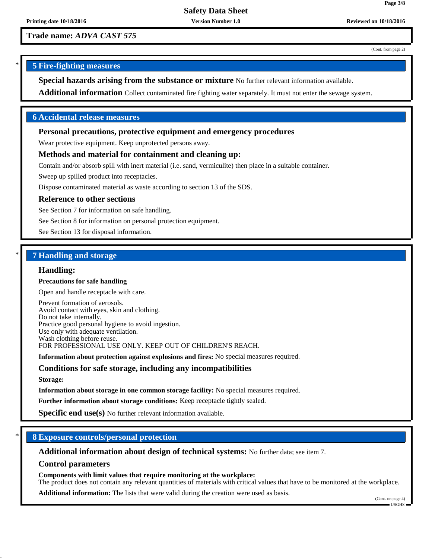**Trade name:** *ADVA CAST 575*

(Cont. from page 2)

**Page 3/8**

## \* **5 Fire-fighting measures**

**Special hazards arising from the substance or mixture** No further relevant information available.

**Additional information** Collect contaminated fire fighting water separately. It must not enter the sewage system.

## **6 Accidental release measures**

### **Personal precautions, protective equipment and emergency procedures**

Wear protective equipment. Keep unprotected persons away.

## **Methods and material for containment and cleaning up:**

Contain and/or absorb spill with inert material (i.e. sand, vermiculite) then place in a suitable container.

Sweep up spilled product into receptacles.

Dispose contaminated material as waste according to section 13 of the SDS.

### **Reference to other sections**

See Section 7 for information on safe handling.

See Section 8 for information on personal protection equipment.

See Section 13 for disposal information.

## \* **7 Handling and storage**

#### **Handling:**

#### **Precautions for safe handling**

Open and handle receptacle with care.

Prevent formation of aerosols. Avoid contact with eyes, skin and clothing. Do not take internally. Practice good personal hygiene to avoid ingestion. Use only with adequate ventilation. Wash clothing before reuse. FOR PROFESSIONAL USE ONLY. KEEP OUT OF CHILDREN'S REACH.

**Information about protection against explosions and fires:** No special measures required.

## **Conditions for safe storage, including any incompatibilities**

**Storage:**

**Information about storage in one common storage facility:** No special measures required.

**Further information about storage conditions:** Keep receptacle tightly sealed.

**Specific end use(s)** No further relevant information available.

## \* **8 Exposure controls/personal protection**

**Additional information about design of technical systems:** No further data; see item 7.

### **Control parameters**

**Components with limit values that require monitoring at the workplace:**

The product does not contain any relevant quantities of materials with critical values that have to be monitored at the workplace.

**Additional information:** The lists that were valid during the creation were used as basis.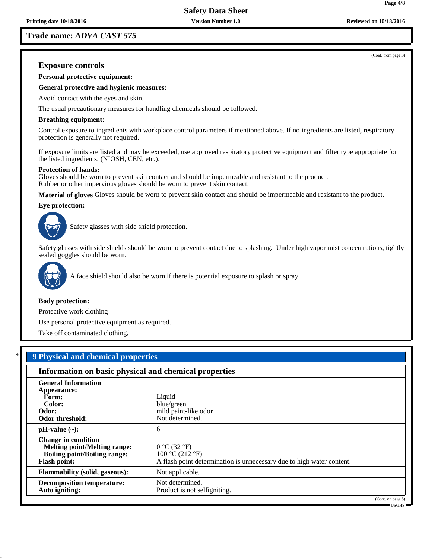**Trade name:** *ADVA CAST 575*

(Cont. from page 3)

**Page 4/8**

## **Exposure controls**

**Personal protective equipment:**

**General protective and hygienic measures:**

Avoid contact with the eyes and skin.

The usual precautionary measures for handling chemicals should be followed.

#### **Breathing equipment:**

Control exposure to ingredients with workplace control parameters if mentioned above. If no ingredients are listed, respiratory protection is generally not required.

If exposure limits are listed and may be exceeded, use approved respiratory protective equipment and filter type appropriate for the listed ingredients. (NIOSH, CEN, etc.).

#### **Protection of hands:**

Gloves should be worn to prevent skin contact and should be impermeable and resistant to the product. Rubber or other impervious gloves should be worn to prevent skin contact.

**Material of gloves** Gloves should be worn to prevent skin contact and should be impermeable and resistant to the product.

#### **Eye protection:**



Safety glasses with side shield protection.

Safety glasses with side shields should be worn to prevent contact due to splashing. Under high vapor mist concentrations, tightly sealed goggles should be worn.



A face shield should also be worn if there is potential exposure to splash or spray.

#### **Body protection:**

Protective work clothing

Use personal protective equipment as required.

Take off contaminated clothing.

\* **9 Physical and chemical properties Information on basic physical and chemical properties General Information Appearance: Form:** Liquid Color: Liquid Color: **Color:** blue/green<br> **Odor:** blue/green<br>
mild paintmild paint-like odor<br>Not determined. **Odor threshold: pH-value (~):** 6 **Change in condition Melting point/Melting range:**  $0^{\circ}C(32^{\circ}F)$ <br>**Boiling point/Boiling range:**  $100^{\circ}C(212^{\circ}F)$ **Boiling point/Boiling range: Flash point:** A flash point determination is unnecessary due to high water content. **Flammability (solid, gaseous):** Not applicable. **Decomposition temperature:** Not determined. Auto igniting: **Product is not selfigniting.** (Cont. on page 5)

USGHS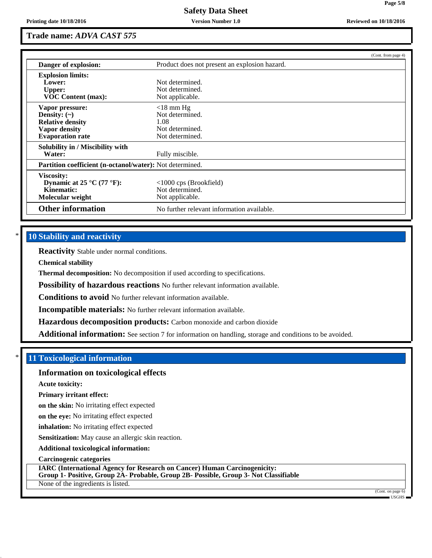## **Trade name:** *ADVA CAST 575*

|                                                          |                                               | (Cont. from page 4) |
|----------------------------------------------------------|-----------------------------------------------|---------------------|
| Danger of explosion:                                     | Product does not present an explosion hazard. |                     |
| <b>Explosion limits:</b>                                 |                                               |                     |
| Lower:                                                   | Not determined.                               |                     |
| <b>Upper:</b>                                            | Not determined.                               |                     |
| <b>VOC Content (max):</b>                                | Not applicable.                               |                     |
| Vapor pressure:                                          | $<$ 18 mm Hg                                  |                     |
| Density: $(\sim)$                                        | Not determined.                               |                     |
| <b>Relative density</b>                                  | 1.08                                          |                     |
| <b>Vapor density</b>                                     | Not determined.                               |                     |
| <b>Evaporation rate</b>                                  | Not determined.                               |                     |
| Solubility in / Miscibility with                         |                                               |                     |
| Water:                                                   | Fully miscible.                               |                     |
| Partition coefficient (n-octanol/water): Not determined. |                                               |                     |
| <b>Viscosity:</b>                                        |                                               |                     |
| Dynamic at 25 °C (77 °F):                                | $<1000$ cps (Brookfield)                      |                     |
| Kinematic:                                               | Not determined.                               |                     |
| Molecular weight                                         | Not applicable.                               |                     |
| <b>Other information</b>                                 | No further relevant information available.    |                     |

## **10 Stability and reactivity**

**Reactivity** Stable under normal conditions.

**Chemical stability**

**Thermal decomposition:** No decomposition if used according to specifications.

**Possibility of hazardous reactions** No further relevant information available.

**Conditions to avoid** No further relevant information available.

**Incompatible materials:** No further relevant information available.

**Hazardous decomposition products:** Carbon monoxide and carbon dioxide

**Additional information:** See section 7 for information on handling, storage and conditions to be avoided.

## \* **11 Toxicological information**

## **Information on toxicological effects**

**Acute toxicity:**

**Primary irritant effect:**

**on the skin:** No irritating effect expected

**on the eye:** No irritating effect expected

**inhalation:** No irritating effect expected

**Sensitization:** May cause an allergic skin reaction.

**Additional toxicological information:**

**Carcinogenic categories**

**IARC (International Agency for Research on Cancer) Human Carcinogenicity: Group 1- Positive, Group 2A- Probable, Group 2B- Possible, Group 3- Not Classifiable**

None of the ingredients is listed.

(Cont. on page 6) USGHS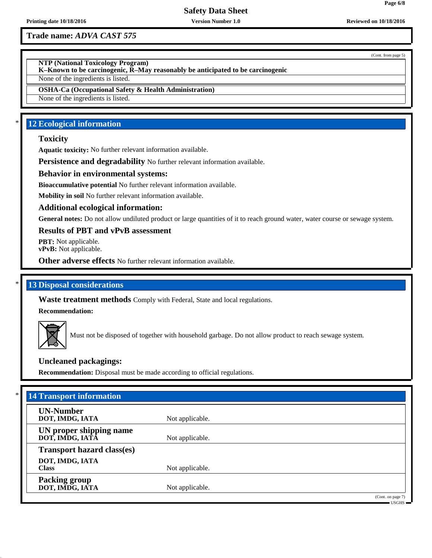## **Trade name:** *ADVA CAST 575*

(Cont. from page 5)

**NTP (National Toxicology Program)**

**K–Known to be carcinogenic, R–May reasonably be anticipated to be carcinogenic**

None of the ingredients is listed.

**OSHA-Ca (Occupational Safety & Health Administration)**

None of the ingredients is listed.

## **12 Ecological information**

### **Toxicity**

**Aquatic toxicity:** No further relevant information available.

**Persistence and degradability** No further relevant information available.

## **Behavior in environmental systems:**

**Bioaccumulative potential** No further relevant information available.

**Mobility in soil** No further relevant information available.

#### **Additional ecological information:**

General notes: Do not allow undiluted product or large quantities of it to reach ground water, water course or sewage system.

#### **Results of PBT and vPvB assessment**

**PBT:** Not applicable. **vPvB:** Not applicable.

**Other adverse effects** No further relevant information available.

## **13 Disposal considerations**

**Waste treatment methods** Comply with Federal, State and local regulations.

**Recommendation:**



Must not be disposed of together with household garbage. Do not allow product to reach sewage system.

## **Uncleaned packagings:**

**Recommendation:** Disposal must be made according to official regulations.

| <b>UN-Number</b>                  |                 |  |
|-----------------------------------|-----------------|--|
| DOT, IMDG, IATA                   | Not applicable. |  |
| UN proper shipping name           |                 |  |
| DOT, IMDG, IATA                   | Not applicable. |  |
| <b>Transport hazard class(es)</b> |                 |  |
| DOT, IMDG, IATA                   |                 |  |
| <b>Class</b>                      | Not applicable. |  |
| <b>Packing group</b>              |                 |  |
| DOT, IMDG, IATA                   | Not applicable. |  |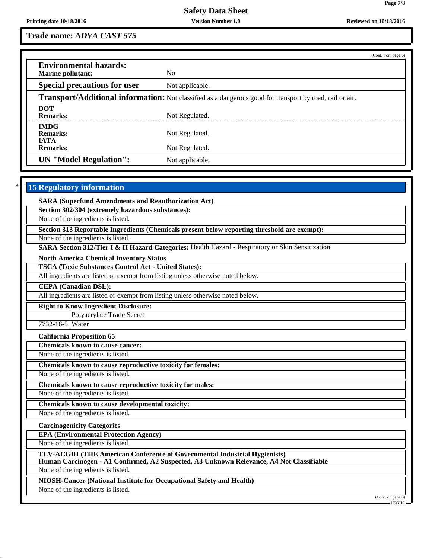**Page 7/8**

**Trade name:** *ADVA CAST 575*

|                                                                                                                 |                 | (Cont. from page 6) |  |  |
|-----------------------------------------------------------------------------------------------------------------|-----------------|---------------------|--|--|
| <b>Environmental hazards:</b><br><b>Marine pollutant:</b>                                                       | N <sub>0</sub>  |                     |  |  |
| <b>Special precautions for user</b>                                                                             | Not applicable. |                     |  |  |
| <b>Transport/Additional information:</b> Not classified as a dangerous good for transport by road, rail or air. |                 |                     |  |  |
| <b>DOT</b><br><b>Remarks:</b>                                                                                   | Not Regulated.  |                     |  |  |
| <b>IMDG</b><br><b>Remarks:</b><br><b>IATA</b>                                                                   | Not Regulated.  |                     |  |  |
| <b>Remarks:</b>                                                                                                 | Not Regulated.  |                     |  |  |
| <b>UN</b> "Model Regulation":                                                                                   | Not applicable. |                     |  |  |

## **15 Regulatory information**

**SARA (Superfund Amendments and Reauthorization Act)**

**Section 302/304 (extremely hazardous substances):**

None of the ingredients is listed.

**Section 313 Reportable Ingredients (Chemicals present below reporting threshold are exempt):**

None of the ingredients is listed.

**SARA Section 312/Tier I & II Hazard Categories:** Health Hazard - Respiratory or Skin Sensitization

**North America Chemical Inventory Status**

**TSCA (Toxic Substances Control Act - United States):**

All ingredients are listed or exempt from listing unless otherwise noted below.

**CEPA (Canadian DSL):**

All ingredients are listed or exempt from listing unless otherwise noted below.

**Right to Know Ingredient Disclosure:**

Polyacrylate Trade Secret

7732-18-5 Water

**California Proposition 65**

**Chemicals known to cause cancer:**

None of the ingredients is listed.

**Chemicals known to cause reproductive toxicity for females:**

None of the ingredients is listed.

**Chemicals known to cause reproductive toxicity for males:**

None of the ingredients is listed.

**Chemicals known to cause developmental toxicity:**

None of the ingredients is listed.

**Carcinogenicity Categories**

**EPA (Environmental Protection Agency)**

None of the ingredients is listed.

**TLV-ACGIH (THE American Conference of Governmental Industrial Hygienists)**

**Human Carcinogen - A1 Confirmed, A2 Suspected, A3 Unknown Relevance, A4 Not Classifiable**

None of the ingredients is listed.

**NIOSH-Cancer (National Institute for Occupational Safety and Health)**

None of the ingredients is listed.

(Cont. on page 8)

USGHS